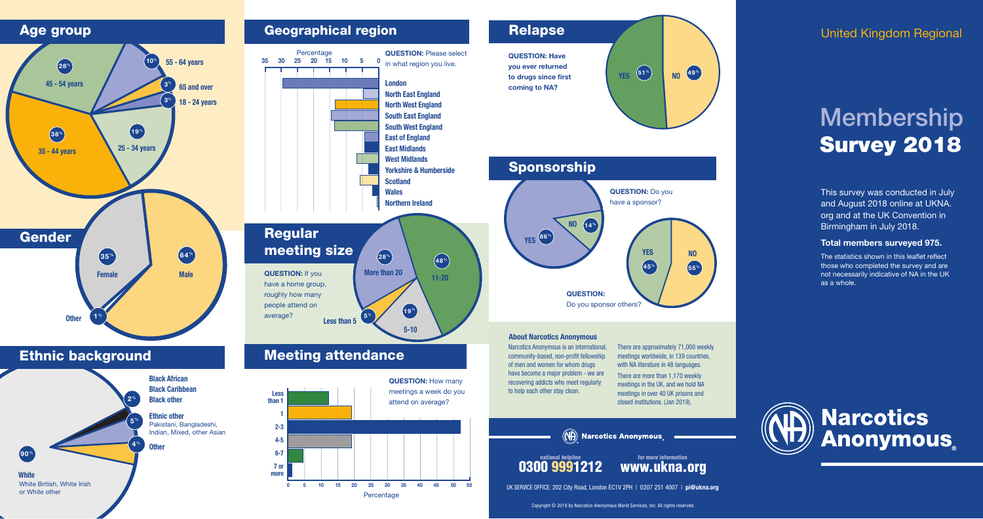# Membership Survey 2018

### United Kingdom Regional

**White** White British, White Irish or White other







There are approximately 71,000 weekly meetings worldwide, in 139 countries, with NA literature in 48 languages.

### Meeting attendance

This survey was conducted in July and August 2018 online at UKNA. org and at the UK Convention in Birmingham in July 2018.

### Total members surveyed 975.

The statistics shown in this leaflet reflect those who completed the survey and are not necessarily indicative of NA in the UK as a whole.



community-based, non-profit fellowship of men and women for whom drugs have become a major problem - we are recovering addicts who meet regularly to help each other stay clean.

UK SERVICE OFFICE: 202 City Road, London EC1V 2PH | 0207 251 4007 | pi@ukna.org

There are more than 1,170 weekly meetings in the UK, and we hold NA meetings in over 40 UK prisons and closed institutions. (Jan 2019).